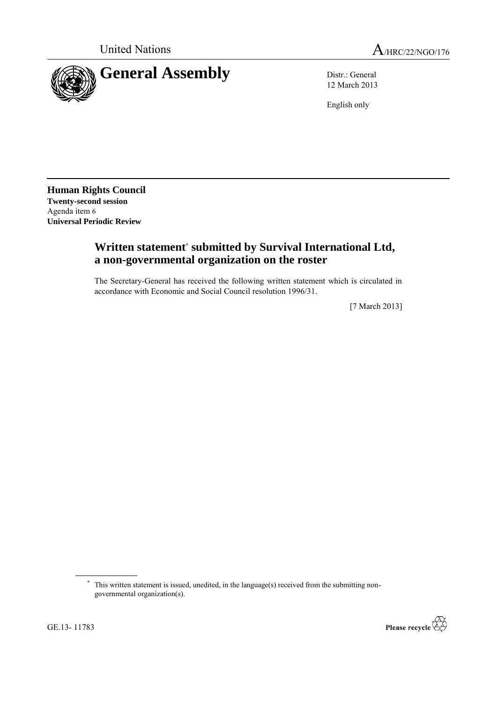



12 March 2013

English only

**Human Rights Council Twenty-second session** Agenda item 6 **Universal Periodic Review**

## **Written statement**\* **submitted by Survival International Ltd, a non-governmental organization on the roster**

The Secretary-General has received the following written statement which is circulated in accordance with Economic and Social Council resolution 1996/31.

[7 March 2013]



<sup>\*</sup> This written statement is issued, unedited, in the language(s) received from the submitting nongovernmental organization(s).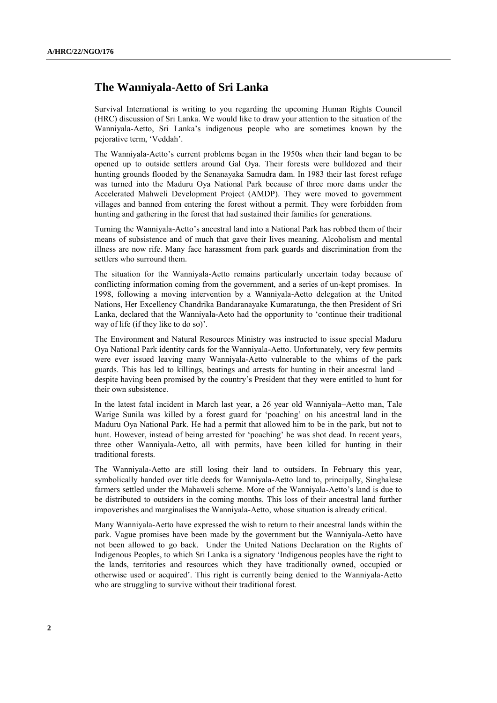## **The Wanniyala-Aetto of Sri Lanka**

Survival International is writing to you regarding the upcoming Human Rights Council (HRC) discussion of Sri Lanka. We would like to draw your attention to the situation of the Wanniyala-Aetto, Sri Lanka's indigenous people who are sometimes known by the pejorative term, 'Veddah'.

The Wanniyala-Aetto's current problems began in the 1950s when their land began to be opened up to outside settlers around Gal Oya. Their forests were bulldozed and their hunting grounds flooded by the Senanayaka Samudra dam. In 1983 their last forest refuge was turned into the Maduru Oya National Park because of three more dams under the Accelerated Mahweli Development Project (AMDP). They were moved to government villages and banned from entering the forest without a permit. They were forbidden from hunting and gathering in the forest that had sustained their families for generations.

Turning the Wanniyala-Aetto's ancestral land into a National Park has robbed them of their means of subsistence and of much that gave their lives meaning. Alcoholism and mental illness are now rife. Many face harassment from park guards and discrimination from the settlers who surround them.

The situation for the Wanniyala-Aetto remains particularly uncertain today because of conflicting information coming from the government, and a series of un-kept promises. In 1998, following a moving intervention by a Wanniyala-Aetto delegation at the United Nations, Her Excellency Chandrika Bandaranayake Kumaratunga, the then President of Sri Lanka, declared that the Wanniyala-Aeto had the opportunity to 'continue their traditional way of life (if they like to do so)'.

The Environment and Natural Resources Ministry was instructed to issue special Maduru Oya National Park identity cards for the Wanniyala-Aetto. Unfortunately, very few permits were ever issued leaving many Wanniyala-Aetto vulnerable to the whims of the park guards. This has led to killings, beatings and arrests for hunting in their ancestral land – despite having been promised by the country's President that they were entitled to hunt for their own subsistence.

In the latest fatal incident in March last year, a 26 year old Wanniyala–Aetto man, Tale Warige Sunila was killed by a forest guard for 'poaching' on his ancestral land in the Maduru Oya National Park. He had a permit that allowed him to be in the park, but not to hunt. However, instead of being arrested for 'poaching' he was shot dead. In recent years, three other Wanniyala-Aetto, all with permits, have been killed for hunting in their traditional forests.

The Wanniyala-Aetto are still losing their land to outsiders. In February this year, symbolically handed over title deeds for Wanniyala-Aetto land to, principally, Singhalese farmers settled under the Mahaweli scheme. More of the Wanniyala-Aetto's land is due to be distributed to outsiders in the coming months. This loss of their ancestral land further impoverishes and marginalises the Wanniyala-Aetto, whose situation is already critical.

Many Wanniyala-Aetto have expressed the wish to return to their ancestral lands within the park. Vague promises have been made by the government but the Wanniyala-Aetto have not been allowed to go back. Under the United Nations Declaration on the Rights of Indigenous Peoples, to which Sri Lanka is a signatory 'Indigenous peoples have the right to the lands, territories and resources which they have traditionally owned, occupied or otherwise used or acquired'. This right is currently being denied to the Wanniyala-Aetto who are struggling to survive without their traditional forest.